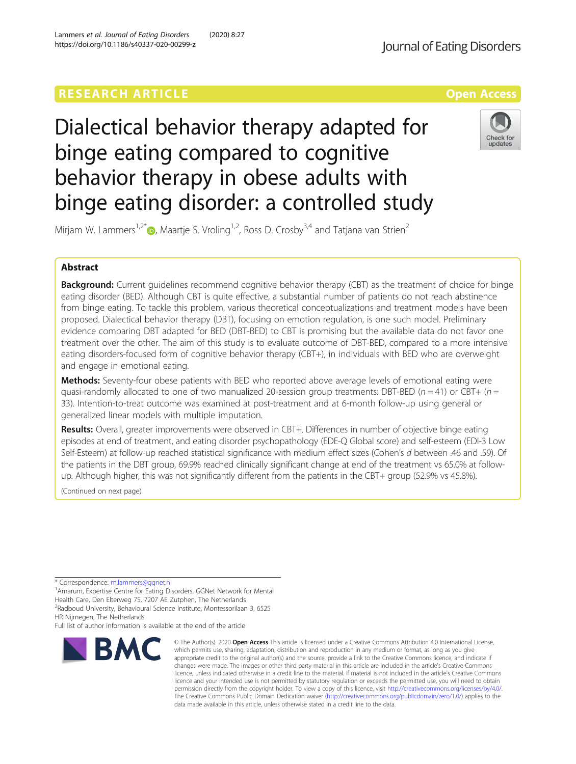# **RESEARCH ARTICLE External Structure Community Community Community Community Community Community Community Community**

Dialectical behavior therapy adapted for binge eating compared to cognitive behavior therapy in obese adults with binge eating disorder: a controlled study

Mirjam W. Lammers<sup>1,2\*</sup> $\bullet$ , Maartje S. Vroling<sup>1,2</sup>, Ross D. Crosby<sup>3,4</sup> and Tatjana van Strien<sup>2</sup>

# Abstract

**Background:** Current guidelines recommend cognitive behavior therapy (CBT) as the treatment of choice for binge eating disorder (BED). Although CBT is quite effective, a substantial number of patients do not reach abstinence from binge eating. To tackle this problem, various theoretical conceptualizations and treatment models have been proposed. Dialectical behavior therapy (DBT), focusing on emotion regulation, is one such model. Preliminary evidence comparing DBT adapted for BED (DBT-BED) to CBT is promising but the available data do not favor one treatment over the other. The aim of this study is to evaluate outcome of DBT-BED, compared to a more intensive eating disorders-focused form of cognitive behavior therapy (CBT+), in individuals with BED who are overweight and engage in emotional eating.

Methods: Seventy-four obese patients with BED who reported above average levels of emotional eating were quasi-randomly allocated to one of two manualized 20-session group treatments: DBT-BED ( $n = 41$ ) or CBT+ ( $n =$ 33). Intention-to-treat outcome was examined at post-treatment and at 6-month follow-up using general or generalized linear models with multiple imputation.

Results: Overall, greater improvements were observed in CBT+. Differences in number of objective binge eating episodes at end of treatment, and eating disorder psychopathology (EDE-Q Global score) and self-esteem (EDI-3 Low Self-Esteem) at follow-up reached statistical significance with medium effect sizes (Cohen's d between .46 and .59). Of the patients in the DBT group, 69.9% reached clinically significant change at end of the treatment vs 65.0% at followup. Although higher, this was not significantly different from the patients in the CBT+ group (52.9% vs 45.8%).

(Continued on next page)

\* Correspondence: m.lammers@ggnet.nl <sup>1</sup>

<sup>1</sup> Amarum, Expertise Centre for Eating Disorders, GGNet Network for Mental Health Care, Den Elterweg 75, 7207 AE Zutphen, The Netherlands 2 Radboud University, Behavioural Science Institute, Montessorilaan 3, 6525 HR Nijmegen, The Netherlands

Full list of author information is available at the end of the article

**BMC** 

#### © The Author(s), 2020 **Open Access** This article is licensed under a Creative Commons Attribution 4.0 International License, which permits use, sharing, adaptation, distribution and reproduction in any medium or format, as long as you give appropriate credit to the original author(s) and the source, provide a link to the Creative Commons licence, and indicate if changes were made. The images or other third party material in this article are included in the article's Creative Commons licence, unless indicated otherwise in a credit line to the material. If material is not included in the article's Creative Commons licence and your intended use is not permitted by statutory regulation or exceeds the permitted use, you will need to obtain permission directly from the copyright holder. To view a copy of this licence, visit http://creativecommons.org/licenses/by/4.0/. The Creative Commons Public Domain Dedication waiver (http://creativecommons.org/publicdomain/zero/1.0/) applies to the data made available in this article, unless otherwise stated in a credit line to the data.

Lammers et al. Journal of Eating Disorders (2020) 8:27 https://doi.org/10.1186/s40337-020-00299-z



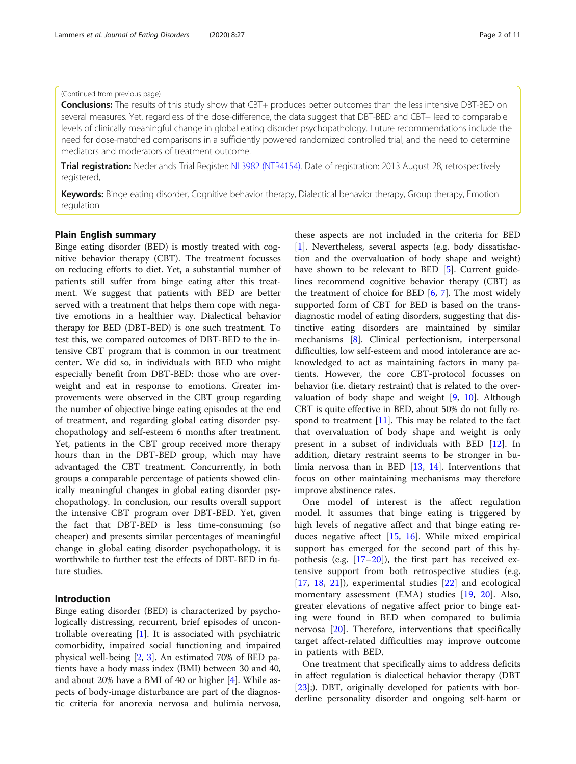# (Continued from previous page)

Conclusions: The results of this study show that CBT+ produces better outcomes than the less intensive DBT-BED on several measures. Yet, regardless of the dose-difference, the data suggest that DBT-BED and CBT+ lead to comparable levels of clinically meaningful change in global eating disorder psychopathology. Future recommendations include the need for dose-matched comparisons in a sufficiently powered randomized controlled trial, and the need to determine mediators and moderators of treatment outcome.

Trial registration: Nederlands Trial Register: NL3982 (NTR4154). Date of registration: 2013 August 28, retrospectively registered,

Keywords: Binge eating disorder, Cognitive behavior therapy, Dialectical behavior therapy, Group therapy, Emotion regulation

### Plain English summary

Binge eating disorder (BED) is mostly treated with cognitive behavior therapy (CBT). The treatment focusses on reducing efforts to diet. Yet, a substantial number of patients still suffer from binge eating after this treatment. We suggest that patients with BED are better served with a treatment that helps them cope with negative emotions in a healthier way. Dialectical behavior therapy for BED (DBT-BED) is one such treatment. To test this, we compared outcomes of DBT-BED to the intensive CBT program that is common in our treatment center. We did so, in individuals with BED who might especially benefit from DBT-BED: those who are overweight and eat in response to emotions. Greater improvements were observed in the CBT group regarding the number of objective binge eating episodes at the end of treatment, and regarding global eating disorder psychopathology and self-esteem 6 months after treatment. Yet, patients in the CBT group received more therapy hours than in the DBT-BED group, which may have advantaged the CBT treatment. Concurrently, in both groups a comparable percentage of patients showed clinically meaningful changes in global eating disorder psychopathology. In conclusion, our results overall support the intensive CBT program over DBT-BED. Yet, given the fact that DBT-BED is less time-consuming (so cheaper) and presents similar percentages of meaningful change in global eating disorder psychopathology, it is worthwhile to further test the effects of DBT-BED in future studies.

# Introduction

Binge eating disorder (BED) is characterized by psychologically distressing, recurrent, brief episodes of uncontrollable overeating [[1\]](#page-8-0). It is associated with psychiatric comorbidity, impaired social functioning and impaired physical well-being [\[2](#page-8-0), [3\]](#page-8-0). An estimated 70% of BED patients have a body mass index (BMI) between 30 and 40, and about 20% have a BMI of 40 or higher [[4\]](#page-9-0). While aspects of body-image disturbance are part of the diagnostic criteria for anorexia nervosa and bulimia nervosa,

these aspects are not included in the criteria for BED [[1\]](#page-8-0). Nevertheless, several aspects (e.g. body dissatisfaction and the overvaluation of body shape and weight) have shown to be relevant to BED [\[5](#page-9-0)]. Current guidelines recommend cognitive behavior therapy (CBT) as the treatment of choice for BED  $[6, 7]$  $[6, 7]$  $[6, 7]$ . The most widely supported form of CBT for BED is based on the transdiagnostic model of eating disorders, suggesting that distinctive eating disorders are maintained by similar mechanisms [\[8](#page-9-0)]. Clinical perfectionism, interpersonal difficulties, low self-esteem and mood intolerance are acknowledged to act as maintaining factors in many patients. However, the core CBT-protocol focusses on behavior (i.e. dietary restraint) that is related to the overvaluation of body shape and weight [[9,](#page-9-0) [10\]](#page-9-0). Although CBT is quite effective in BED, about 50% do not fully respond to treatment  $[11]$ . This may be related to the fact that overvaluation of body shape and weight is only present in a subset of individuals with BED [\[12\]](#page-9-0). In addition, dietary restraint seems to be stronger in bulimia nervosa than in BED [\[13](#page-9-0), [14\]](#page-9-0). Interventions that focus on other maintaining mechanisms may therefore improve abstinence rates.

One model of interest is the affect regulation model. It assumes that binge eating is triggered by high levels of negative affect and that binge eating reduces negative affect [[15,](#page-9-0) [16\]](#page-9-0). While mixed empirical support has emerged for the second part of this hypothesis (e.g. [\[17](#page-9-0)–[20](#page-9-0)]), the first part has received extensive support from both retrospective studies (e.g. [[17,](#page-9-0) [18,](#page-9-0) [21](#page-9-0)]), experimental studies [[22](#page-9-0)] and ecological momentary assessment (EMA) studies [[19,](#page-9-0) [20](#page-9-0)]. Also, greater elevations of negative affect prior to binge eating were found in BED when compared to bulimia nervosa [[20\]](#page-9-0). Therefore, interventions that specifically target affect-related difficulties may improve outcome in patients with BED.

One treatment that specifically aims to address deficits in affect regulation is dialectical behavior therapy (DBT [[23\]](#page-9-0);). DBT, originally developed for patients with borderline personality disorder and ongoing self-harm or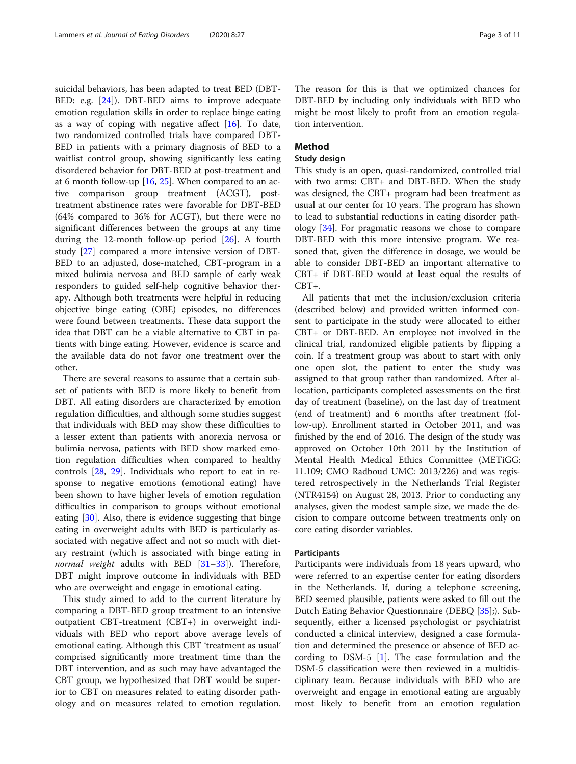suicidal behaviors, has been adapted to treat BED (DBT-BED: e.g. [\[24\]](#page-9-0)). DBT-BED aims to improve adequate emotion regulation skills in order to replace binge eating as a way of coping with negative affect  $[16]$  $[16]$ . To date, two randomized controlled trials have compared DBT-BED in patients with a primary diagnosis of BED to a waitlist control group, showing significantly less eating disordered behavior for DBT-BED at post-treatment and at 6 month follow-up [\[16,](#page-9-0) [25\]](#page-9-0). When compared to an active comparison group treatment (ACGT), posttreatment abstinence rates were favorable for DBT-BED (64% compared to 36% for ACGT), but there were no significant differences between the groups at any time during the 12-month follow-up period [\[26](#page-9-0)]. A fourth study [[27\]](#page-9-0) compared a more intensive version of DBT-BED to an adjusted, dose-matched, CBT-program in a mixed bulimia nervosa and BED sample of early weak responders to guided self-help cognitive behavior therapy. Although both treatments were helpful in reducing objective binge eating (OBE) episodes, no differences were found between treatments. These data support the idea that DBT can be a viable alternative to CBT in patients with binge eating. However, evidence is scarce and the available data do not favor one treatment over the other.

There are several reasons to assume that a certain subset of patients with BED is more likely to benefit from DBT. All eating disorders are characterized by emotion regulation difficulties, and although some studies suggest that individuals with BED may show these difficulties to a lesser extent than patients with anorexia nervosa or bulimia nervosa, patients with BED show marked emotion regulation difficulties when compared to healthy controls [[28,](#page-9-0) [29](#page-9-0)]. Individuals who report to eat in response to negative emotions (emotional eating) have been shown to have higher levels of emotion regulation difficulties in comparison to groups without emotional eating [[30\]](#page-9-0). Also, there is evidence suggesting that binge eating in overweight adults with BED is particularly associated with negative affect and not so much with dietary restraint (which is associated with binge eating in normal weight adults with BED  $[31-33]$  $[31-33]$  $[31-33]$  $[31-33]$  $[31-33]$ ). Therefore, DBT might improve outcome in individuals with BED who are overweight and engage in emotional eating.

This study aimed to add to the current literature by comparing a DBT-BED group treatment to an intensive outpatient CBT-treatment (CBT+) in overweight individuals with BED who report above average levels of emotional eating. Although this CBT 'treatment as usual' comprised significantly more treatment time than the DBT intervention, and as such may have advantaged the CBT group, we hypothesized that DBT would be superior to CBT on measures related to eating disorder pathology and on measures related to emotion regulation.

The reason for this is that we optimized chances for DBT-BED by including only individuals with BED who might be most likely to profit from an emotion regulation intervention.

# Method

# Study design

This study is an open, quasi-randomized, controlled trial with two arms: CBT+ and DBT-BED. When the study was designed, the CBT+ program had been treatment as usual at our center for 10 years. The program has shown to lead to substantial reductions in eating disorder pathology [[34](#page-9-0)]. For pragmatic reasons we chose to compare DBT-BED with this more intensive program. We reasoned that, given the difference in dosage, we would be able to consider DBT-BED an important alternative to CBT+ if DBT-BED would at least equal the results of CBT+.

All patients that met the inclusion/exclusion criteria (described below) and provided written informed consent to participate in the study were allocated to either CBT+ or DBT-BED. An employee not involved in the clinical trial, randomized eligible patients by flipping a coin. If a treatment group was about to start with only one open slot, the patient to enter the study was assigned to that group rather than randomized. After allocation, participants completed assessments on the first day of treatment (baseline), on the last day of treatment (end of treatment) and 6 months after treatment (follow-up). Enrollment started in October 2011, and was finished by the end of 2016. The design of the study was approved on October 10th 2011 by the Institution of Mental Health Medical Ethics Committee (METiGG: 11.109; CMO Radboud UMC: 2013/226) and was registered retrospectively in the Netherlands Trial Register (NTR4154) on August 28, 2013. Prior to conducting any analyses, given the modest sample size, we made the decision to compare outcome between treatments only on core eating disorder variables.

### **Participants**

Participants were individuals from 18 years upward, who were referred to an expertise center for eating disorders in the Netherlands. If, during a telephone screening, BED seemed plausible, patients were asked to fill out the Dutch Eating Behavior Questionnaire (DEBQ [\[35](#page-9-0)];). Subsequently, either a licensed psychologist or psychiatrist conducted a clinical interview, designed a case formulation and determined the presence or absence of BED according to DSM-5 [[1\]](#page-8-0). The case formulation and the DSM-5 classification were then reviewed in a multidisciplinary team. Because individuals with BED who are overweight and engage in emotional eating are arguably most likely to benefit from an emotion regulation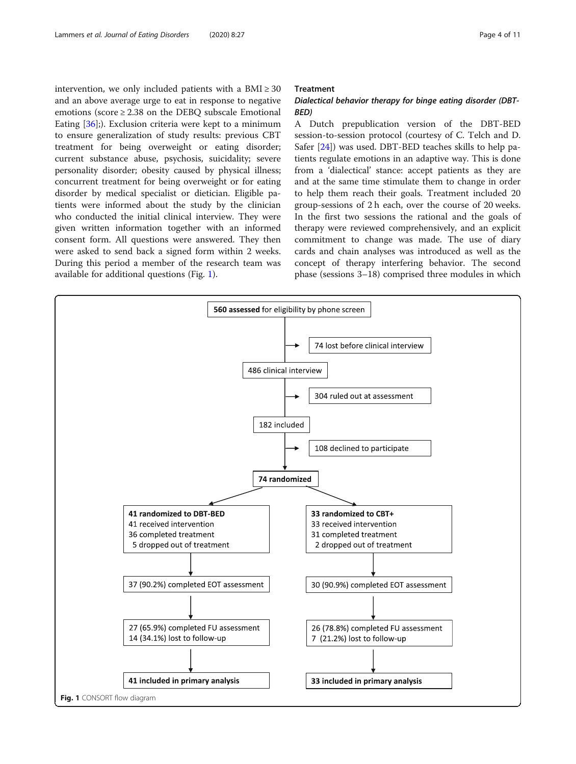intervention, we only included patients with a  $BMI \geq 30$ and an above average urge to eat in response to negative emotions (score  $\geq 2.38$  on the DEBO subscale Emotional Eating [[36\]](#page-9-0);). Exclusion criteria were kept to a minimum to ensure generalization of study results: previous CBT treatment for being overweight or eating disorder; current substance abuse, psychosis, suicidality; severe personality disorder; obesity caused by physical illness; concurrent treatment for being overweight or for eating disorder by medical specialist or dietician. Eligible patients were informed about the study by the clinician who conducted the initial clinical interview. They were given written information together with an informed consent form. All questions were answered. They then were asked to send back a signed form within 2 weeks. During this period a member of the research team was available for additional questions (Fig. 1).

### Treatment

# Dialectical behavior therapy for binge eating disorder (DBT-BED)

A Dutch prepublication version of the DBT-BED session-to-session protocol (courtesy of C. Telch and D. Safer [\[24](#page-9-0)]) was used. DBT-BED teaches skills to help patients regulate emotions in an adaptive way. This is done from a 'dialectical' stance: accept patients as they are and at the same time stimulate them to change in order to help them reach their goals. Treatment included 20 group-sessions of 2 h each, over the course of 20 weeks. In the first two sessions the rational and the goals of therapy were reviewed comprehensively, and an explicit commitment to change was made. The use of diary cards and chain analyses was introduced as well as the concept of therapy interfering behavior. The second phase (sessions 3–18) comprised three modules in which

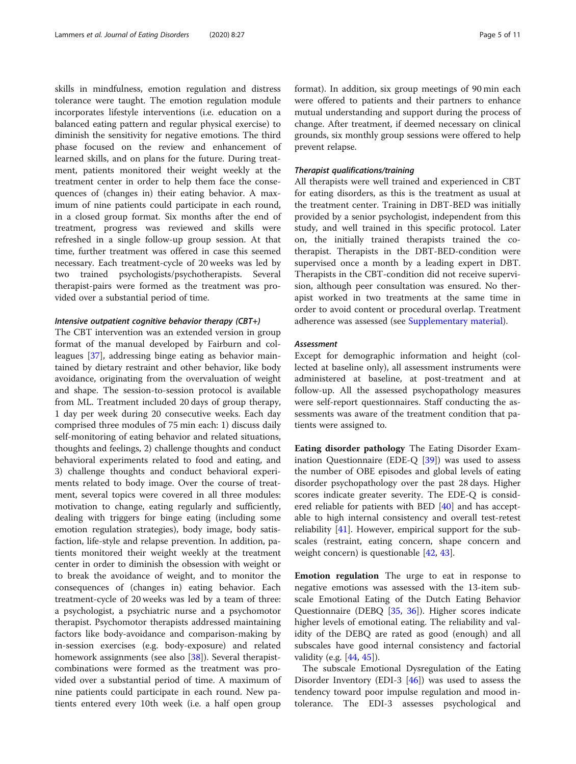skills in mindfulness, emotion regulation and distress tolerance were taught. The emotion regulation module incorporates lifestyle interventions (i.e. education on a balanced eating pattern and regular physical exercise) to diminish the sensitivity for negative emotions. The third phase focused on the review and enhancement of learned skills, and on plans for the future. During treatment, patients monitored their weight weekly at the treatment center in order to help them face the consequences of (changes in) their eating behavior. A maximum of nine patients could participate in each round, in a closed group format. Six months after the end of treatment, progress was reviewed and skills were refreshed in a single follow-up group session. At that time, further treatment was offered in case this seemed necessary. Each treatment-cycle of 20 weeks was led by two trained psychologists/psychotherapists. Several therapist-pairs were formed as the treatment was provided over a substantial period of time.

# Intensive outpatient cognitive behavior therapy (CBT+)

The CBT intervention was an extended version in group format of the manual developed by Fairburn and colleagues [\[37](#page-9-0)], addressing binge eating as behavior maintained by dietary restraint and other behavior, like body avoidance, originating from the overvaluation of weight and shape. The session-to-session protocol is available from ML. Treatment included 20 days of group therapy, 1 day per week during 20 consecutive weeks. Each day comprised three modules of 75 min each: 1) discuss daily self-monitoring of eating behavior and related situations, thoughts and feelings, 2) challenge thoughts and conduct behavioral experiments related to food and eating, and 3) challenge thoughts and conduct behavioral experiments related to body image. Over the course of treatment, several topics were covered in all three modules: motivation to change, eating regularly and sufficiently, dealing with triggers for binge eating (including some emotion regulation strategies), body image, body satisfaction, life-style and relapse prevention. In addition, patients monitored their weight weekly at the treatment center in order to diminish the obsession with weight or to break the avoidance of weight, and to monitor the consequences of (changes in) eating behavior. Each treatment-cycle of 20 weeks was led by a team of three: a psychologist, a psychiatric nurse and a psychomotor therapist. Psychomotor therapists addressed maintaining factors like body-avoidance and comparison-making by in-session exercises (e.g. body-exposure) and related homework assignments (see also [[38](#page-9-0)]). Several therapistcombinations were formed as the treatment was provided over a substantial period of time. A maximum of nine patients could participate in each round. New patients entered every 10th week (i.e. a half open group format). In addition, six group meetings of 90 min each were offered to patients and their partners to enhance mutual understanding and support during the process of change. After treatment, if deemed necessary on clinical grounds, six monthly group sessions were offered to help prevent relapse.

### Therapist qualifications/training

All therapists were well trained and experienced in CBT for eating disorders, as this is the treatment as usual at the treatment center. Training in DBT-BED was initially provided by a senior psychologist, independent from this study, and well trained in this specific protocol. Later on, the initially trained therapists trained the cotherapist. Therapists in the DBT-BED-condition were supervised once a month by a leading expert in DBT. Therapists in the CBT-condition did not receive supervision, although peer consultation was ensured. No therapist worked in two treatments at the same time in order to avoid content or procedural overlap. Treatment adherence was assessed (see [Supplementary material](#page-8-0)).

# Assessment

Except for demographic information and height (collected at baseline only), all assessment instruments were administered at baseline, at post-treatment and at follow-up. All the assessed psychopathology measures were self-report questionnaires. Staff conducting the assessments was aware of the treatment condition that patients were assigned to.

Eating disorder pathology The Eating Disorder Examination Questionnaire (EDE-Q [[39](#page-9-0)]) was used to assess the number of OBE episodes and global levels of eating disorder psychopathology over the past 28 days. Higher scores indicate greater severity. The EDE-Q is considered reliable for patients with BED [[40\]](#page-9-0) and has acceptable to high internal consistency and overall test-retest reliability [[41\]](#page-9-0). However, empirical support for the subscales (restraint, eating concern, shape concern and weight concern) is questionable [\[42](#page-9-0), [43](#page-9-0)].

Emotion regulation The urge to eat in response to negative emotions was assessed with the 13-item subscale Emotional Eating of the Dutch Eating Behavior Questionnaire (DEBQ [\[35](#page-9-0), [36\]](#page-9-0)). Higher scores indicate higher levels of emotional eating. The reliability and validity of the DEBQ are rated as good (enough) and all subscales have good internal consistency and factorial validity (e.g. [[44,](#page-9-0) [45](#page-9-0)]).

The subscale Emotional Dysregulation of the Eating Disorder Inventory (EDI-3 [[46\]](#page-9-0)) was used to assess the tendency toward poor impulse regulation and mood intolerance. The EDI-3 assesses psychological and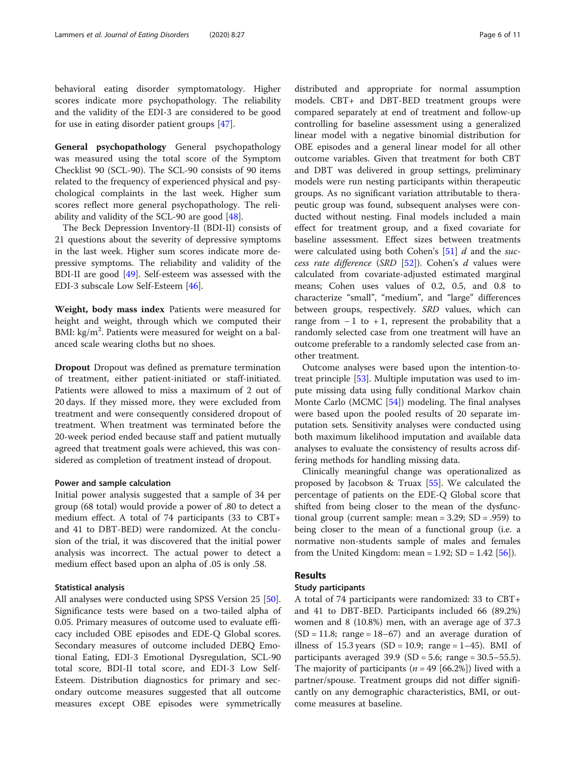behavioral eating disorder symptomatology. Higher scores indicate more psychopathology. The reliability and the validity of the EDI-3 are considered to be good for use in eating disorder patient groups [\[47\]](#page-9-0).

General psychopathology General psychopathology was measured using the total score of the Symptom Checklist 90 (SCL-90). The SCL-90 consists of 90 items related to the frequency of experienced physical and psychological complaints in the last week. Higher sum scores reflect more general psychopathology. The reliability and validity of the SCL-90 are good [[48](#page-9-0)].

The Beck Depression Inventory-II (BDI-II) consists of 21 questions about the severity of depressive symptoms in the last week. Higher sum scores indicate more depressive symptoms. The reliability and validity of the BDI-II are good [\[49](#page-9-0)]. Self-esteem was assessed with the EDI-3 subscale Low Self-Esteem [\[46\]](#page-9-0).

Weight, body mass index Patients were measured for height and weight, through which we computed their BMI: kg/m<sup>2</sup>. Patients were measured for weight on a balanced scale wearing cloths but no shoes.

Dropout Dropout was defined as premature termination of treatment, either patient-initiated or staff-initiated. Patients were allowed to miss a maximum of 2 out of 20 days. If they missed more, they were excluded from treatment and were consequently considered dropout of treatment. When treatment was terminated before the 20-week period ended because staff and patient mutually agreed that treatment goals were achieved, this was considered as completion of treatment instead of dropout.

### Power and sample calculation

Initial power analysis suggested that a sample of 34 per group (68 total) would provide a power of .80 to detect a medium effect. A total of 74 participants (33 to CBT+ and 41 to DBT-BED) were randomized. At the conclusion of the trial, it was discovered that the initial power analysis was incorrect. The actual power to detect a medium effect based upon an alpha of .05 is only .58.

### Statistical analysis

All analyses were conducted using SPSS Version 25 [\[50](#page-9-0)]. Significance tests were based on a two-tailed alpha of 0.05. Primary measures of outcome used to evaluate efficacy included OBE episodes and EDE-Q Global scores. Secondary measures of outcome included DEBQ Emotional Eating, EDI-3 Emotional Dysregulation, SCL-90 total score, BDI-II total score, and EDI-3 Low Self-Esteem. Distribution diagnostics for primary and secondary outcome measures suggested that all outcome measures except OBE episodes were symmetrically

distributed and appropriate for normal assumption models. CBT+ and DBT-BED treatment groups were compared separately at end of treatment and follow-up controlling for baseline assessment using a generalized linear model with a negative binomial distribution for OBE episodes and a general linear model for all other outcome variables. Given that treatment for both CBT and DBT was delivered in group settings, preliminary models were run nesting participants within therapeutic groups. As no significant variation attributable to therapeutic group was found, subsequent analyses were conducted without nesting. Final models included a main effect for treatment group, and a fixed covariate for baseline assessment. Effect sizes between treatments were calculated using both Cohen's  $[51]$  $[51]$  $[51]$  d and the success rate difference (SRD [\[52](#page-10-0)]). Cohen's d values were calculated from covariate-adjusted estimated marginal means; Cohen uses values of 0.2, 0.5, and 0.8 to characterize "small", "medium", and "large" differences between groups, respectively. SRD values, which can range from  $-1$  to  $+1$ , represent the probability that a randomly selected case from one treatment will have an outcome preferable to a randomly selected case from another treatment.

Outcome analyses were based upon the intention-totreat principle [[53\]](#page-10-0). Multiple imputation was used to impute missing data using fully conditional Markov chain Monte Carlo (MCMC [[54\]](#page-10-0)) modeling. The final analyses were based upon the pooled results of 20 separate imputation sets. Sensitivity analyses were conducted using both maximum likelihood imputation and available data analyses to evaluate the consistency of results across differing methods for handling missing data.

Clinically meaningful change was operationalized as proposed by Jacobson & Truax [\[55](#page-10-0)]. We calculated the percentage of patients on the EDE-Q Global score that shifted from being closer to the mean of the dysfunctional group (current sample: mean =  $3.29$ ; SD =  $.959$ ) to being closer to the mean of a functional group (i.e. a normative non-students sample of males and females from the United Kingdom: mean =  $1.92$ ; SD =  $1.42$  [ $56$ ]).

# Results

# Study participants

A total of 74 participants were randomized: 33 to CBT+ and 41 to DBT-BED. Participants included 66 (89.2%) women and 8 (10.8%) men, with an average age of 37.3  $(SD = 11.8;$  range = 18–67) and an average duration of illness of 15.3 years  $(SD = 10.9; \text{ range} = 1-45)$ . BMI of participants averaged  $39.9$  (SD = 5.6; range = 30.5–55.5). The majority of participants ( $n = 49$  [66.2%]) lived with a partner/spouse. Treatment groups did not differ significantly on any demographic characteristics, BMI, or outcome measures at baseline.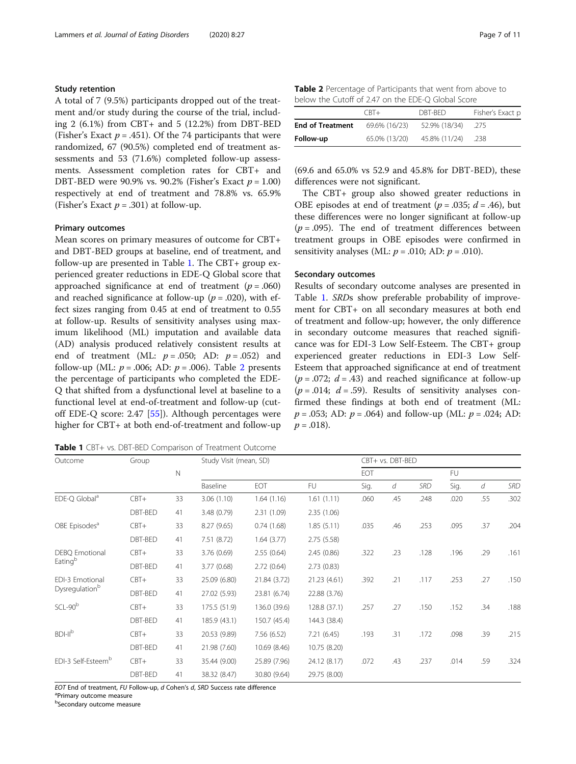# Study retention

A total of 7 (9.5%) participants dropped out of the treatment and/or study during the course of the trial, including 2 (6.1%) from CBT+ and 5 (12.2%) from DBT-BED (Fisher's Exact  $p = .451$ ). Of the 74 participants that were randomized, 67 (90.5%) completed end of treatment assessments and 53 (71.6%) completed follow-up assessments. Assessment completion rates for CBT+ and DBT-BED were 90.9% vs. 90.2% (Fisher's Exact  $p = 1.00$ ) respectively at end of treatment and 78.8% vs. 65.9% (Fisher's Exact  $p = .301$ ) at follow-up.

#### Primary outcomes

Mean scores on primary measures of outcome for CBT+ and DBT-BED groups at baseline, end of treatment, and follow-up are presented in Table 1. The CBT+ group experienced greater reductions in EDE-Q Global score that approached significance at end of treatment ( $p = .060$ ) and reached significance at follow-up ( $p = .020$ ), with effect sizes ranging from 0.45 at end of treatment to 0.55 at follow-up. Results of sensitivity analyses using maximum likelihood (ML) imputation and available data (AD) analysis produced relatively consistent results at end of treatment (ML:  $p = .050$ ; AD:  $p = .052$ ) and follow-up (ML:  $p = .006$ ; AD:  $p = .006$ ). Table 2 presents the percentage of participants who completed the EDE-Q that shifted from a dysfunctional level at baseline to a functional level at end-of-treatment and follow-up (cutoff EDE-Q score: 2.47 [\[55](#page-10-0)]). Although percentages were higher for CBT+ at both end-of-treatment and follow-up

Table 1 CBT+ vs. DBT-BED Comparison of Treatment Outcome

| <b>Table 2</b> Percentage of Participants that went from above to |  |  |
|-------------------------------------------------------------------|--|--|
| below the Cutoff of 2.47 on the EDE-O Global Score                |  |  |

|                         | $CRT+$        | DBT-BED       | Fisher's Exact p |
|-------------------------|---------------|---------------|------------------|
| <b>End of Treatment</b> | 69.6% (16/23) | 52.9% (18/34) | -275             |
| Follow-up               | 65.0% (13/20) | 45.8% (11/24) | .238             |

(69.6 and 65.0% vs 52.9 and 45.8% for DBT-BED), these differences were not significant.

The CBT+ group also showed greater reductions in OBE episodes at end of treatment ( $p = .035$ ;  $d = .46$ ), but these differences were no longer significant at follow-up  $(p=.095)$ . The end of treatment differences between treatment groups in OBE episodes were confirmed in sensitivity analyses (ML:  $p = .010$ ; AD:  $p = .010$ ).

### Secondary outcomes

Results of secondary outcome analyses are presented in Table 1. SRDs show preferable probability of improvement for CBT+ on all secondary measures at both end of treatment and follow-up; however, the only difference in secondary outcome measures that reached significance was for EDI-3 Low Self-Esteem. The CBT+ group experienced greater reductions in EDI-3 Low Self-Esteem that approached significance at end of treatment  $(p=.072; d=.43)$  and reached significance at follow-up  $(p=.014; d=.59)$ . Results of sensitivity analyses confirmed these findings at both end of treatment (ML:  $p = .053$ ; AD:  $p = .064$ ) and follow-up (ML:  $p = .024$ ; AD:  $p = .018$ ).

| Outcome                                      | Group   |          | Study Visit (mean, SD) |              | CBT+ vs. DBT-BED |      |            |      |      |            |      |
|----------------------------------------------|---------|----------|------------------------|--------------|------------------|------|------------|------|------|------------|------|
|                                              | N       |          |                        |              |                  |      | EOT        |      |      | FU         |      |
|                                              |         | Baseline | EOT                    | <b>FU</b>    | Sig.             | d    | <b>SRD</b> | Sig. | d    | <b>SRD</b> |      |
| EDE-Q Global <sup>a</sup>                    | $CBT+$  | 33       | 3.06(1.10)             | 1.64(1.16)   | 1.61(1.11)       | .060 | .45        | .248 | .020 | .55        | .302 |
|                                              | DBT-BED | 41       | 3.48 (0.79)            | 2.31(1.09)   | 2.35(1.06)       |      |            |      |      |            |      |
| OBE Episodes <sup>a</sup>                    | $CBT+$  | 33       | 8.27(9.65)             | 0.74(1.68)   | 1.85(5.11)       | .035 | .46        | .253 | .095 | .37        | .204 |
|                                              | DBT-BED | 41       | 7.51 (8.72)            | 1.64(3.77)   | 2.75(5.58)       |      |            |      |      |            |      |
| <b>DEBQ</b> Emotional<br>Eating <sup>b</sup> | $CBT+$  | 33       | 3.76 (0.69)            | 2.55(0.64)   | 2.45(0.86)       | .322 | .23        | .128 | .196 | .29        | .161 |
|                                              | DBT-BED | 41       | 3.77(0.68)             | 2.72(0.64)   | 2.73(0.83)       |      |            |      |      |            |      |
| EDI-3 Emotional<br>Dysregulationb            | $CBT+$  | 33       | 25.09 (6.80)           | 21.84 (3.72) | 21.23 (4.61)     | .392 | .21        | .117 | .253 | .27        | .150 |
|                                              | DBT-BED | 41       | 27.02 (5.93)           | 23.81 (6.74) | 22.88 (3.76)     |      |            |      |      |            |      |
| $SCL-90b$                                    | $CBT+$  | 33       | 175.5 (51.9)           | 136.0 (39.6) | 128.8 (37.1)     | .257 | .27        | .150 | .152 | .34        | .188 |
|                                              | DBT-BED | 41       | 185.9 (43.1)           | 150.7 (45.4) | 144.3 (38.4)     |      |            |      |      |            |      |
| BDH <sup>b</sup>                             | $CBT+$  | 33       | 20.53 (9.89)           | 7.56 (6.52)  | 7.21(6.45)       | .193 | .31        | .172 | .098 | .39        | .215 |
|                                              | DBT-BED | 41       | 21.98 (7.60)           | 10.69 (8.46) | 10.75 (8.20)     |      |            |      |      |            |      |
| EDI-3 Self-Esteem <sup>b</sup>               | $CBT+$  | 33       | 35.44 (9.00)           | 25.89 (7.96) | 24.12 (8.17)     | .072 | .43        | .237 | .014 | .59        | .324 |
|                                              | DBT-BED | 41       | 38.32 (8.47)           | 30.80 (9.64) | 29.75 (8.00)     |      |            |      |      |            |      |

EOT End of treatment, FU Follow-up, d Cohen's d, SRD Success rate difference

<sup>a</sup>Primary outcome measure

b Secondary outcome measure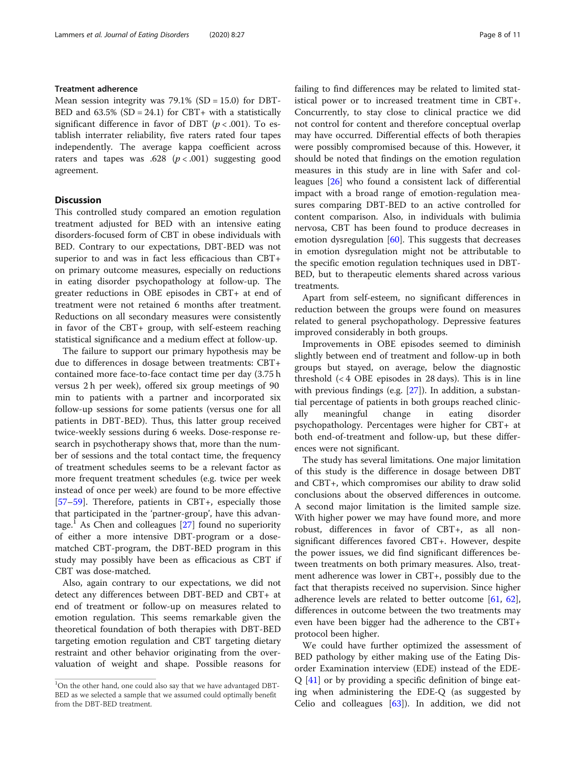### Treatment adherence

Mean session integrity was  $79.1\%$  (SD = 15.0) for DBT-BED and  $63.5\%$  (SD = 24.1) for CBT+ with a statistically significant difference in favor of DBT ( $p < .001$ ). To establish interrater reliability, five raters rated four tapes independently. The average kappa coefficient across raters and tapes was .628 ( $p < .001$ ) suggesting good agreement.

### **Discussion**

This controlled study compared an emotion regulation treatment adjusted for BED with an intensive eating disorders-focused form of CBT in obese individuals with BED. Contrary to our expectations, DBT-BED was not superior to and was in fact less efficacious than CBT+ on primary outcome measures, especially on reductions in eating disorder psychopathology at follow-up. The greater reductions in OBE episodes in CBT+ at end of treatment were not retained 6 months after treatment. Reductions on all secondary measures were consistently in favor of the CBT+ group, with self-esteem reaching statistical significance and a medium effect at follow-up.

The failure to support our primary hypothesis may be due to differences in dosage between treatments: CBT+ contained more face-to-face contact time per day (3.75 h versus 2 h per week), offered six group meetings of 90 min to patients with a partner and incorporated six follow-up sessions for some patients (versus one for all patients in DBT-BED). Thus, this latter group received twice-weekly sessions during 6 weeks. Dose-response research in psychotherapy shows that, more than the number of sessions and the total contact time, the frequency of treatment schedules seems to be a relevant factor as more frequent treatment schedules (e.g. twice per week instead of once per week) are found to be more effective [[57](#page-10-0)–[59](#page-10-0)]. Therefore, patients in CBT+, especially those that participated in the 'partner-group', have this advantage.<sup>1</sup> As Chen and colleagues  $[27]$  $[27]$  found no superiority of either a more intensive DBT-program or a dosematched CBT-program, the DBT-BED program in this study may possibly have been as efficacious as CBT if CBT was dose-matched.

Also, again contrary to our expectations, we did not detect any differences between DBT-BED and CBT+ at end of treatment or follow-up on measures related to emotion regulation. This seems remarkable given the theoretical foundation of both therapies with DBT-BED targeting emotion regulation and CBT targeting dietary restraint and other behavior originating from the overvaluation of weight and shape. Possible reasons for failing to find differences may be related to limited statistical power or to increased treatment time in CBT+. Concurrently, to stay close to clinical practice we did not control for content and therefore conceptual overlap may have occurred. Differential effects of both therapies were possibly compromised because of this. However, it should be noted that findings on the emotion regulation measures in this study are in line with Safer and colleagues [[26](#page-9-0)] who found a consistent lack of differential impact with a broad range of emotion-regulation measures comparing DBT-BED to an active controlled for content comparison. Also, in individuals with bulimia nervosa, CBT has been found to produce decreases in emotion dysregulation [\[60](#page-10-0)]. This suggests that decreases in emotion dysregulation might not be attributable to the specific emotion regulation techniques used in DBT-BED, but to therapeutic elements shared across various treatments.

Apart from self-esteem, no significant differences in reduction between the groups were found on measures related to general psychopathology. Depressive features improved considerably in both groups.

Improvements in OBE episodes seemed to diminish slightly between end of treatment and follow-up in both groups but stayed, on average, below the diagnostic threshold (< 4 OBE episodes in 28 days). This is in line with previous findings (e.g. [\[27\]](#page-9-0)). In addition, a substantial percentage of patients in both groups reached clinically meaningful change in eating disorder psychopathology. Percentages were higher for CBT+ at both end-of-treatment and follow-up, but these differences were not significant.

The study has several limitations. One major limitation of this study is the difference in dosage between DBT and CBT+, which compromises our ability to draw solid conclusions about the observed differences in outcome. A second major limitation is the limited sample size. With higher power we may have found more, and more robust, differences in favor of CBT+, as all nonsignificant differences favored CBT+. However, despite the power issues, we did find significant differences between treatments on both primary measures. Also, treatment adherence was lower in CBT+, possibly due to the fact that therapists received no supervision. Since higher adherence levels are related to better outcome [[61](#page-10-0), [62](#page-10-0)], differences in outcome between the two treatments may even have been bigger had the adherence to the CBT+ protocol been higher.

We could have further optimized the assessment of BED pathology by either making use of the Eating Disorder Examination interview (EDE) instead of the EDE-Q [[41\]](#page-9-0) or by providing a specific definition of binge eating when administering the EDE-Q (as suggested by Celio and colleagues [\[63](#page-10-0)]). In addition, we did not

 $^{1}$ On the other hand, one could also say that we have advantaged DBT-BED as we selected a sample that we assumed could optimally benefit from the DBT-BED treatment.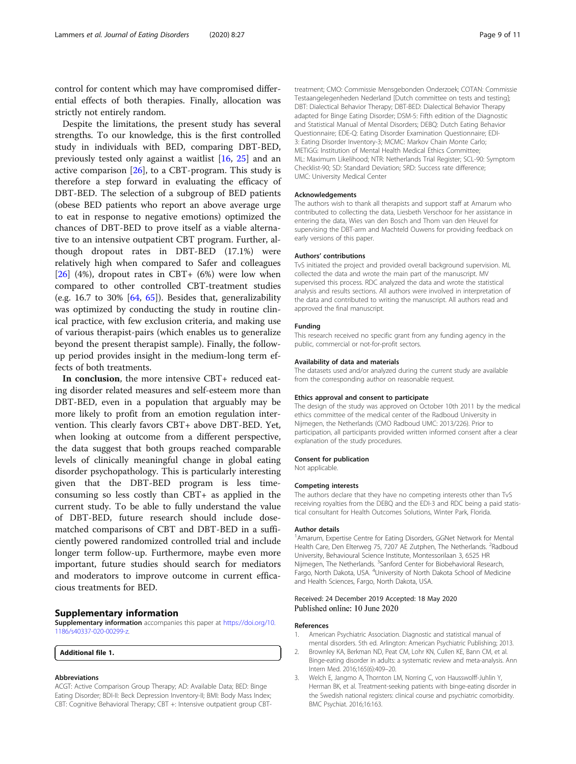<span id="page-8-0"></span>control for content which may have compromised differential effects of both therapies. Finally, allocation was strictly not entirely random.

Despite the limitations, the present study has several strengths. To our knowledge, this is the first controlled study in individuals with BED, comparing DBT-BED, previously tested only against a waitlist [[16,](#page-9-0) [25\]](#page-9-0) and an active comparison  $[26]$  $[26]$ , to a CBT-program. This study is therefore a step forward in evaluating the efficacy of DBT-BED. The selection of a subgroup of BED patients (obese BED patients who report an above average urge to eat in response to negative emotions) optimized the chances of DBT-BED to prove itself as a viable alternative to an intensive outpatient CBT program. Further, although dropout rates in DBT-BED (17.1%) were relatively high when compared to Safer and colleagues [[26\]](#page-9-0) (4%), dropout rates in CBT+ (6%) were low when compared to other controlled CBT-treatment studies (e.g. 16.7 to 30%  $[64, 65]$  $[64, 65]$  $[64, 65]$  $[64, 65]$  $[64, 65]$ ). Besides that, generalizability was optimized by conducting the study in routine clinical practice, with few exclusion criteria, and making use of various therapist-pairs (which enables us to generalize beyond the present therapist sample). Finally, the followup period provides insight in the medium-long term effects of both treatments.

In conclusion, the more intensive CBT+ reduced eating disorder related measures and self-esteem more than DBT-BED, even in a population that arguably may be more likely to profit from an emotion regulation intervention. This clearly favors CBT+ above DBT-BED. Yet, when looking at outcome from a different perspective, the data suggest that both groups reached comparable levels of clinically meaningful change in global eating disorder psychopathology. This is particularly interesting given that the DBT-BED program is less timeconsuming so less costly than CBT+ as applied in the current study. To be able to fully understand the value of DBT-BED, future research should include dosematched comparisons of CBT and DBT-BED in a sufficiently powered randomized controlled trial and include longer term follow-up. Furthermore, maybe even more important, future studies should search for mediators and moderators to improve outcome in current efficacious treatments for BED.

### Supplementary information

Supplementary information accompanies this paper at https://doi.org/10. 1186/s40337-020-00299-z.

Additional file 1.

#### Abbreviations

ACGT: Active Comparison Group Therapy; AD: Available Data; BED: Binge Eating Disorder; BDI-II: Beck Depression Inventory-II; BMI: Body Mass Index; CBT: Cognitive Behavioral Therapy; CBT +: Intensive outpatient group CBT- treatment; CMO: Commissie Mensgebonden Onderzoek; COTAN: Commissie Testaangelegenheden Nederland [Dutch committee on tests and testing]; DBT: Dialectical Behavior Therapy; DBT-BED: Dialectical Behavior Therapy adapted for Binge Eating Disorder; DSM-5: Fifth edition of the Diagnostic and Statistical Manual of Mental Disorders; DEBQ: Dutch Eating Behavior Questionnaire; EDE-Q: Eating Disorder Examination Questionnaire; EDI-3: Eating Disorder Inventory-3; MCMC: Markov Chain Monte Carlo; METiGG: Institution of Mental Health Medical Ethics Committee; ML: Maximum Likelihood; NTR: Netherlands Trial Register; SCL-90: Symptom Checklist-90; SD: Standard Deviation; SRD: Success rate difference; UMC: University Medical Center

#### Acknowledgements

The authors wish to thank all therapists and support staff at Amarum who contributed to collecting the data, Liesbeth Verschoor for her assistance in entering the data, Wies van den Bosch and Thom van den Heuvel for supervising the DBT-arm and Machteld Ouwens for providing feedback on early versions of this paper.

#### Authors' contributions

TvS initiated the project and provided overall background supervision. ML collected the data and wrote the main part of the manuscript. MV supervised this process. RDC analyzed the data and wrote the statistical analysis and results sections. All authors were involved in interpretation of the data and contributed to writing the manuscript. All authors read and approved the final manuscript.

#### Funding

This research received no specific grant from any funding agency in the public, commercial or not-for-profit sectors.

#### Availability of data and materials

The datasets used and/or analyzed during the current study are available from the corresponding author on reasonable request.

#### Ethics approval and consent to participate

The design of the study was approved on October 10th 2011 by the medical ethics committee of the medical center of the Radboud University in Nijmegen, the Netherlands (CMO Radboud UMC: 2013/226). Prior to participation, all participants provided written informed consent after a clear explanation of the study procedures.

#### Consent for publication

Not applicable.

#### Competing interests

The authors declare that they have no competing interests other than TvS receiving royalties from the DEBQ and the EDI-3 and RDC being a paid statistical consultant for Health Outcomes Solutions, Winter Park, Florida.

#### Author details

<sup>1</sup> Amarum, Expertise Centre for Eating Disorders, GGNet Network for Mental Health Care, Den Elterweg 75, 7207 AE Zutphen, The Netherlands. <sup>2</sup>Radboud University, Behavioural Science Institute, Montessorilaan 3, 6525 HR Nijmegen, The Netherlands. <sup>3</sup>Sanford Center for Biobehavioral Research Fargo, North Dakota, USA. <sup>4</sup>University of North Dakota School of Medicine and Health Sciences, Fargo, North Dakota, USA.

### Received: 24 December 2019 Accepted: 18 May 2020 Published online: 10 June 2020

### References

- 1. American Psychiatric Association. Diagnostic and statistical manual of mental disorders. 5th ed. Arlington: American Psychiatric Publishing; 2013.
- 2. Brownley KA, Berkman ND, Peat CM, Lohr KN, Cullen KE, Bann CM, et al. Binge-eating disorder in adults: a systematic review and meta-analysis. Ann Intern Med. 2016;165(6):409–20.
- 3. Welch E, Jangmo A, Thornton LM, Norring C, von Hausswolff-Juhlin Y, Herman BK, et al. Treatment-seeking patients with binge-eating disorder in the Swedish national registers: clinical course and psychiatric comorbidity. BMC Psychiat. 2016;16:163.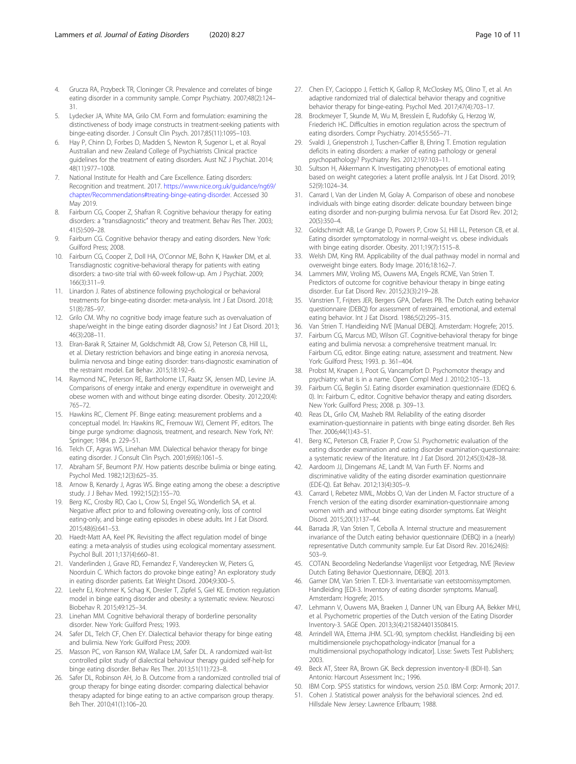- <span id="page-9-0"></span>4. Grucza RA, Przybeck TR, Cloninger CR. Prevalence and correlates of binge eating disorder in a community sample. Compr Psychiatry. 2007;48(2):124– 31.
- 5. Lydecker JA, White MA, Grilo CM. Form and formulation: examining the distinctiveness of body image constructs in treatment-seeking patients with binge-eating disorder. J Consult Clin Psych. 2017;85(11):1095–103.
- Hay P, Chinn D, Forbes D, Madden S, Newton R, Sugenor L, et al. Royal Australian and new Zealand College of Psychiatrists Clinical practice guidelines for the treatment of eating disorders. Aust NZ J Psychiat. 2014; 48(11):977–1008.
- 7. National Institute for Health and Care Excellence. Eating disorders: Recognition and treatment. 2017. https://www.nice.org.uk/guidance/ng69/ chapter/Recommendations#treating-binge-eating-disorder. Accessed 30 May 2019.
- 8. Fairburn CG, Cooper Z, Shafran R. Cognitive behaviour therapy for eating disorders: a "transdiagnostic" theory and treatment. Behav Res Ther. 2003; 41(5):509–28.
- Fairburn CG. Cognitive behavior therapy and eating disorders. New York: Guilford Press; 2008.
- 10. Fairburn CG, Cooper Z, Doll HA, O'Connor ME, Bohn K, Hawker DM, et al. Transdiagnostic cognitive-behavioral therapy for patients with eating disorders: a two-site trial with 60-week follow-up. Am J Psychiat. 2009; 166(3):311–9.
- 11. Linardon J. Rates of abstinence following psychological or behavioral treatments for binge-eating disorder: meta-analysis. Int J Eat Disord. 2018; 51(8):785–97.
- 12. Grilo CM. Why no cognitive body image feature such as overvaluation of shape/weight in the binge eating disorder diagnosis? Int J Eat Disord. 2013; 46(3):208–11.
- 13. Elran-Barak R, Sztainer M, Goldschmidt AB, Crow SJ, Peterson CB, Hill LL, et al. Dietary restriction behaviors and binge eating in anorexia nervosa, bulimia nervosa and binge eating disorder: trans-diagnostic examination of the restraint model. Eat Behav. 2015;18:192–6.
- 14. Raymond NC, Peterson RE, Bartholome LT, Raatz SK, Jensen MD, Levine JA. Comparisons of energy intake and energy expenditure in overweight and obese women with and without binge eating disorder. Obesity. 2012;20(4): 765–72.
- 15. Hawkins RC, Clement PF. Binge eating: measurement problems and a conceptual model. In: Hawkins RC, Fremouw WJ, Clement PF, editors. The binge purge syndrome: diagnosis, treatment, and research. New York, NY: Springer; 1984. p. 229–51.
- 16. Telch CF, Agras WS, Linehan MM. Dialectical behavior therapy for binge eating disorder. J Consult Clin Psych. 2001;69(6):1061–5.
- 17. Abraham SF, Beumont PJV. How patients describe bulimia or binge eating. Psychol Med. 1982;12(3):625–35.
- 18. Arnow B, Kenardy J, Agras WS. Binge eating among the obese: a descriptive study. J J Behav Med. 1992;15(2):155–70.
- 19. Berg KC, Crosby RD, Cao L, Crow SJ, Engel SG, Wonderlich SA, et al. Negative affect prior to and following overeating-only, loss of control eating-only, and binge eating episodes in obese adults. Int J Eat Disord. 2015;48(6):641–53.
- 20. Haedt-Matt AA, Keel PK. Revisiting the affect regulation model of binge eating: a meta-analysis of studies using ecological momentary assessment. Psychol Bull. 2011;137(4):660–81.
- 21. Vanderlinden J, Grave RD, Fernandez F, Vandereycken W, Pieters G, Noorduin C. Which factors do provoke binge eating? An exploratory study in eating disorder patients. Eat Weight Disord. 2004;9:300–5.
- 22. Leehr EJ, Krohmer K, Schag K, Dresler T, Zipfel S, Giel KE. Emotion regulation model in binge eating disorder and obesity: a systematic review. Neurosci Biobehav R. 2015;49:125–34.
- 23. Linehan MM. Cognitive behavioral therapy of borderline personality disorder. New York: Guilford Press; 1993.
- 24. Safer DL, Telch CF, Chen EY. Dialectical behavior therapy for binge eating and bulimia. New York: Guilford Press; 2009.
- 25. Masson PC, von Ranson KM, Wallace LM, Safer DL. A randomized wait-list controlled pilot study of dialectical behaviour therapy guided self-help for binge eating disorder. Behav Res Ther. 2013;51(11):723–8.
- 26. Safer DL, Robinson AH, Jo B. Outcome from a randomized controlled trial of group therapy for binge eating disorder: comparing dialectical behavior therapy adapted for binge eating to an active comparison group therapy. Beh Ther. 2010;41(1):106–20.
- 27. Chen EY, Cacioppo J, Fettich K, Gallop R, McCloskey MS, Olino T, et al. An adaptive randomized trial of dialectical behavior therapy and cognitive behavior therapy for binge-eating. Psychol Med. 2017;47(4):703–17.
- 28. Brockmeyer T, Skunde M, Wu M, Bresslein E, Rudofsky G, Herzog W, Friederich HC. Difficulties in emotion regulation across the spectrum of eating disorders. Compr Psychiatry. 2014;55:565–71.
- Svaldi J, Griepenstroh J, Tuschen-Caffier B, Ehring T. Emotion regulation deficits in eating disorders: a marker of eating pathology or general psychopathology? Psychiatry Res. 2012;197:103–11.
- Sultson H, Akkermann K. Investigating phenotypes of emotional eating based on weight categories: a latent profile analysis. Int J Eat Disord. 2019; 52(9):1024–34.
- 31. Carrard I, Van der Linden M, Golay A. Comparison of obese and nonobese individuals with binge eating disorder: delicate boundary between binge eating disorder and non-purging bulimia nervosa. Eur Eat Disord Rev. 2012; 20(5):350–4.
- 32. Goldschmidt AB, Le Grange D, Powers P, Crow SJ, Hill LL, Peterson CB, et al. Eating disorder symptomatology in normal-weight vs. obese individuals with binge eating disorder. Obesity. 2011;19(7):1515–8.
- 33. Welsh DM, King RM. Applicability of the dual pathway model in normal and overweight binge eaters. Body Image. 2016;18:162–7.
- 34. Lammers MW, Vroling MS, Ouwens MA, Engels RCME, Van Strien T. Predictors of outcome for cognitive behaviour therapy in binge eating disorder. Eur Eat Disord Rev. 2015;23(3):219–28.
- 35. Vanstrien T, Frijters JER, Bergers GPA, Defares PB. The Dutch eating behavior questionnaire (DEBQ) for assessment of restrained, emotional, and external eating behavior. Int J Eat Disord. 1986;5(2):295–315.
- 36. Van Strien T. Handleiding NVE [Manual DEBQ]. Amsterdam: Hogrefe; 2015.
- 37. Fairburn CG, Marcus MD, Wilson GT. Cognitive-behavioral therapy for binge eating and bulimia nervosa: a comprehensive treatment manual. In: Fairburn CG, editor. Binge eating: nature, assessment and treatment. New York: Guilford Press; 1993. p. 361–404.
- 38. Probst M, Knapen J, Poot G, Vancampfort D. Psychomotor therapy and psychiatry: what is in a name. Open Compl Med J. 2010;2:105–13.
- 39. Fairburn CG, Beglin SJ. Eating disorder examination questionnaire (EDEQ 6. 0). In: Fairburn C, editor. Cognitive behavior therapy and eating disorders. New York: Guilford Press; 2008. p. 309–13.
- 40. Reas DL, Grilo CM, Masheb RM. Reliability of the eating disorder examination-questionnaire in patients with binge eating disorder. Beh Res Ther. 2006;44(1):43–51.
- 41. Berg KC, Peterson CB, Frazier P, Crow SJ. Psychometric evaluation of the eating disorder examination and eating disorder examination-questionnaire: a systematic review of the literature. Int J Eat Disord. 2012;45(3):428–38.
- 42. Aardoom JJ, Dingemans AE, Landt M, Van Furth EF. Norms and discriminative validity of the eating disorder examination questionnaire (EDE-Q). Eat Behav. 2012;13(4):305–9.
- 43. Carrard I, Rebetez MML, Mobbs O, Van der Linden M. Factor structure of a French version of the eating disorder examination-questionnaire among women with and without binge eating disorder symptoms. Eat Weight Disord. 2015;20(1):137–44.
- 44. Barrada JR, Van Strien T, Cebolla A. Internal structure and measurement invariance of the Dutch eating behavior questionnaire (DEBQ) in a (nearly) representative Dutch community sample. Eur Eat Disord Rev. 2016;24(6): 503–9.
- 45. COTAN. Beoordeling Nederlandse Vragenlijst voor Eetgedrag, NVE [Review Dutch Eating Behavior Questionnaire, DEBQ]. 2013.
- 46. Garner DM, Van Strien T. EDI-3. Inventarisatie van eetstoornissymptomen. Handleiding [EDI-3. Inventory of eating disorder symptoms. Manual]. Amsterdam: Hogrefe; 2015.
- 47. Lehmann V, Ouwens MA, Braeken J, Danner UN, van Elburg AA, Bekker MHJ, et al. Psychometric properties of the Dutch version of the Eating Disorder Inventory-3. SAGE Open. 2013;3(4):2158244013508415.
- 48. Arrindell WA, Ettema JHM. SCL-90, symptom checklist. Handleiding bij een multidimensionele psychopathology-indicator [manual for a multidimensional psychopathology indicator]. Lisse: Swets Test Publishers; 2003.
- 49. Beck AT, Steer RA, Brown GK. Beck depression inventory-II (BDI-II). San Antonio: Harcourt Assessment Inc.; 1996.
- 50. IBM Corp. SPSS statistics for windows, version 25.0. IBM Corp: Armonk; 2017.
- 51. Cohen J. Statistical power analysis for the behavioral sciences. 2nd ed. Hillsdale New Jersey: Lawrence Erlbaum; 1988.